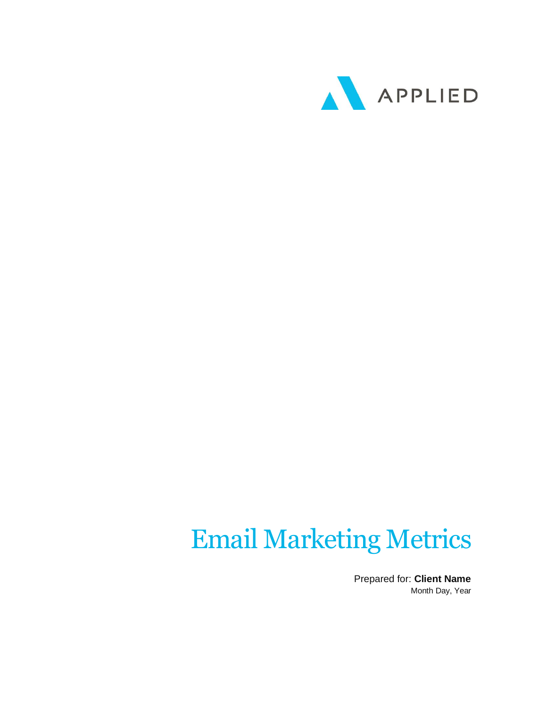

## Email Marketing Metrics

Prepared for: **Client Name** Month Day, Year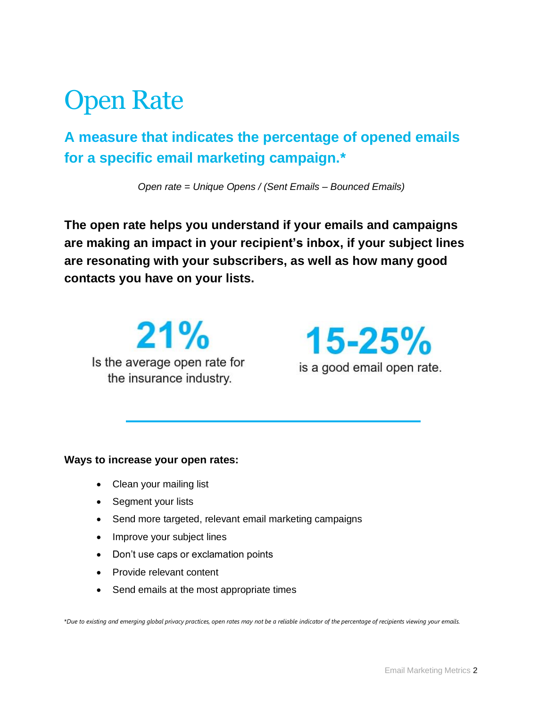### Open Rate

**A measure that indicates the percentage of opened emails for a specific email marketing campaign.\***

*Open rate = Unique Opens / (Sent Emails – Bounced Emails)*

**The open rate helps you understand if your emails and campaigns are making an impact in your recipient's inbox, if your subject lines are resonating with your subscribers, as well as how many good contacts you have on your lists.**

 $21%$ Is the average open rate for the insurance industry.

 $15 - 25%$ is a good email open rate.

#### **Ways to increase your open rates:**

- Clean your mailing list
- Segment your lists
- Send more targeted, relevant email marketing campaigns
- Improve your subject lines
- Don't use caps or exclamation points
- Provide relevant content
- Send emails at the most appropriate times

\**Due to existing and emerging global privacy practices, open rates may not be a reliable indicator of the percentage of recipients viewing your emails.*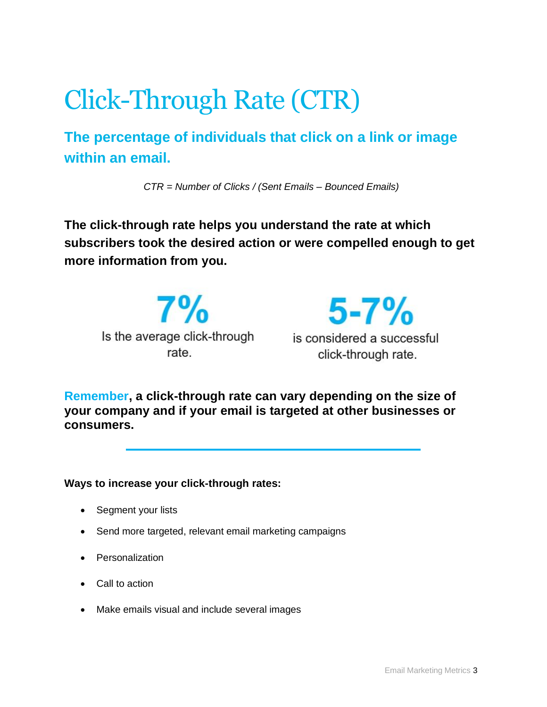# Click-Through Rate (CTR)

**The percentage of individuals that click on a link or image within an email.**

*CTR = Number of Clicks / (Sent Emails – Bounced Emails)*

**The click-through rate helps you understand the rate at which subscribers took the desired action or were compelled enough to get more information from you.**

 $7%$ Is the average click-through rate.



**Remember, a click-through rate can vary depending on the size of your company and if your email is targeted at other businesses or consumers.**

**Ways to increase your click-through rates:**

- Segment your lists
- Send more targeted, relevant email marketing campaigns
- Personalization
- Call to action
- Make emails visual and include several images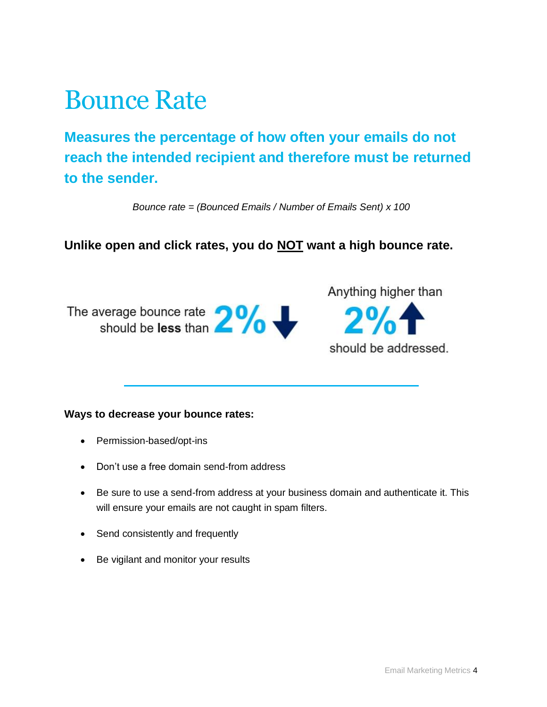### Bounce Rate

**Measures the percentage of how often your emails do not reach the intended recipient and therefore must be returned to the sender.**

*Bounce rate = (Bounced Emails / Number of Emails Sent) x 100*

**Unlike open and click rates, you do NOT want a high bounce rate.**

The average bounce rate  $2\%$ 

Anything higher than  $2%$ should be addressed.

#### **Ways to decrease your bounce rates:**

- Permission-based/opt-ins
- Don't use a free domain send-from address
- Be sure to use a send-from address at your business domain and authenticate it. This will ensure your emails are not caught in spam filters.
- Send consistently and frequently
- Be vigilant and monitor your results